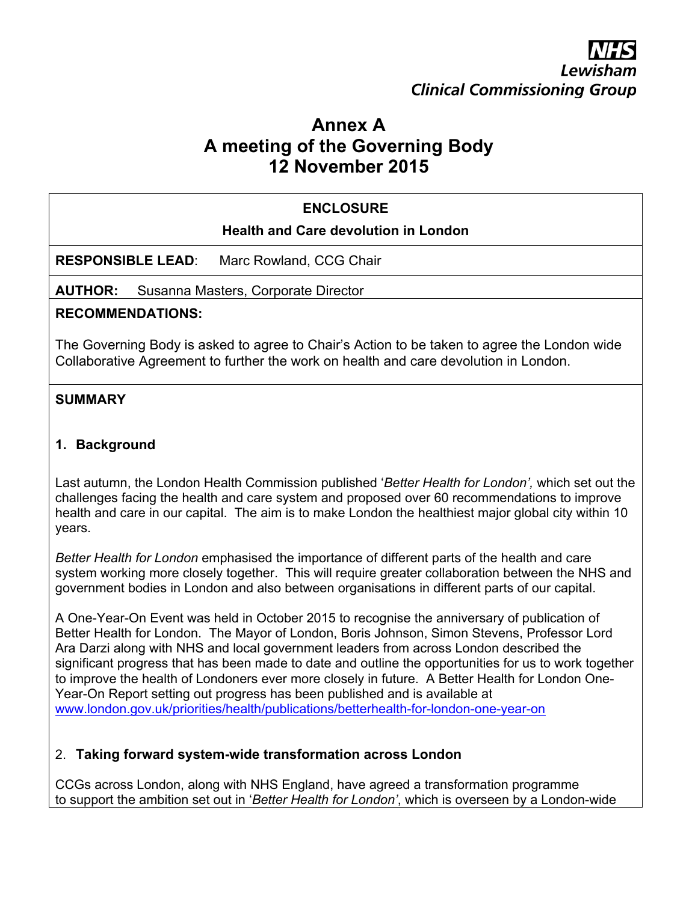# **Clinical Commissioning Group**

## **Annex A A meeting of the Governing Body 12 November 2015**

#### **ENCLOSURE**

#### **Health and Care devolution in London**

**RESPONSIBLE LEAD**: Marc Rowland, CCG Chair

**AUTHOR:** Susanna Masters, Corporate Director

#### **RECOMMENDATIONS:**

The Governing Body is asked to agree to Chair's Action to be taken to agree the London wide Collaborative Agreement to further the work on health and care devolution in London.

#### **SUMMARY**

#### **1. Background**

Last autumn, the London Health Commission published '*Better Health for London',* which set out the challenges facing the health and care system and proposed over 60 recommendations to improve health and care in our capital. The aim is to make London the healthiest major global city within 10 years.

*Better Health for London* emphasised the importance of different parts of the health and care system working more closely together. This will require greater collaboration between the NHS and government bodies in London and also between organisations in different parts of our capital.

A One-Year-On Event was held in October 2015 to recognise the anniversary of publication of Better Health for London. The Mayor of London, Boris Johnson, Simon Stevens, Professor Lord Ara Darzi along with NHS and local government leaders from across London described the significant progress that has been made to date and outline the opportunities for us to work together to improve the health of Londoners ever more closely in future. A Better Health for London One-Year-On Report setting out progress has been published and is available at [www.london.gov.uk/priorities/health/publications/betterhealth-for-london-one-year-on](http://www.london.gov.uk/priorities/health/publications/betterhealth-for-london-one-year-on)

#### 2. **Taking forward system-wide transformation across London**

CCGs across London, along with NHS England, have agreed a transformation programme to support the ambition set out in '*Better Health for London'*, which is overseen by a London-wide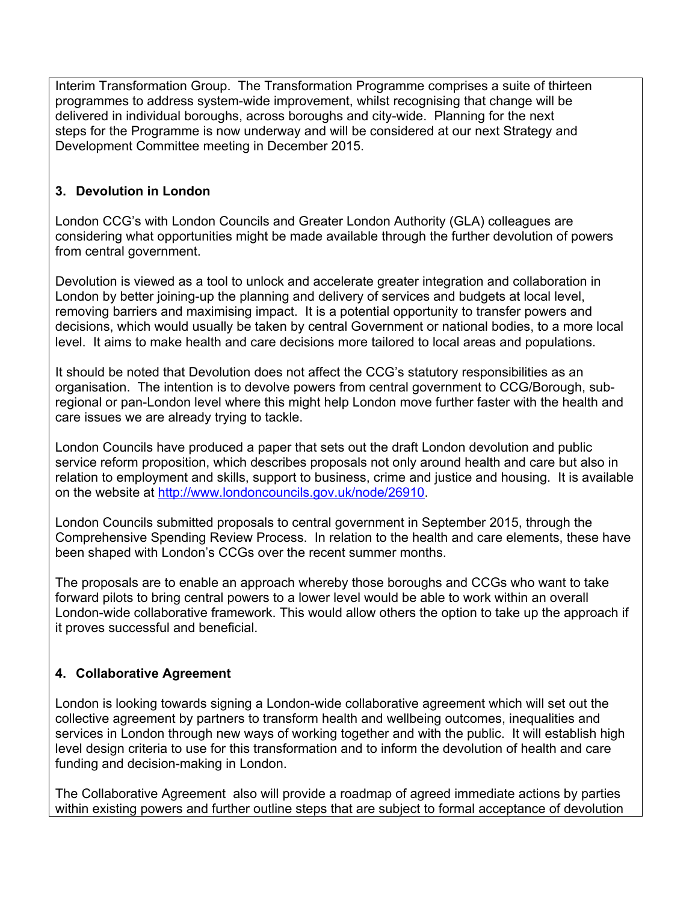Interim Transformation Group. The Transformation Programme comprises a suite of thirteen programmes to address system-wide improvement, whilst recognising that change will be delivered in individual boroughs, across boroughs and city-wide. Planning for the next steps for the Programme is now underway and will be considered at our next Strategy and Development Committee meeting in December 2015.

#### **3. Devolution in London**

London CCG's with London Councils and Greater London Authority (GLA) colleagues are considering what opportunities might be made available through the further devolution of powers from central government.

Devolution is viewed as a tool to unlock and accelerate greater integration and collaboration in London by better joining-up the planning and delivery of services and budgets at local level, removing barriers and maximising impact. It is a potential opportunity to transfer powers and decisions, which would usually be taken by central Government or national bodies, to a more local level. It aims to make health and care decisions more tailored to local areas and populations.

It should be noted that Devolution does not affect the CCG's statutory responsibilities as an organisation. The intention is to devolve powers from central government to CCG/Borough, subregional or pan-London level where this might help London move further faster with the health and care issues we are already trying to tackle.

London Councils have produced a paper that sets out the draft London devolution and public service reform proposition, which describes proposals not only around health and care but also in relation to employment and skills, support to business, crime and justice and housing. It is available on the website at [http://www.londoncouncils.gov.uk/node/26910.](http://www.londoncouncils.gov.uk/node/26910)

London Councils submitted proposals to central government in September 2015, through the Comprehensive Spending Review Process. In relation to the health and care elements, these have been shaped with London's CCGs over the recent summer months.

The proposals are to enable an approach whereby those boroughs and CCGs who want to take forward pilots to bring central powers to a lower level would be able to work within an overall London-wide collaborative framework. This would allow others the option to take up the approach if it proves successful and beneficial.

#### **4. Collaborative Agreement**

London is looking towards signing a London-wide collaborative agreement which will set out the collective agreement by partners to transform health and wellbeing outcomes, inequalities and services in London through new ways of working together and with the public. It will establish high level design criteria to use for this transformation and to inform the devolution of health and care funding and decision-making in London.

The Collaborative Agreement also will provide a roadmap of agreed immediate actions by parties within existing powers and further outline steps that are subject to formal acceptance of devolution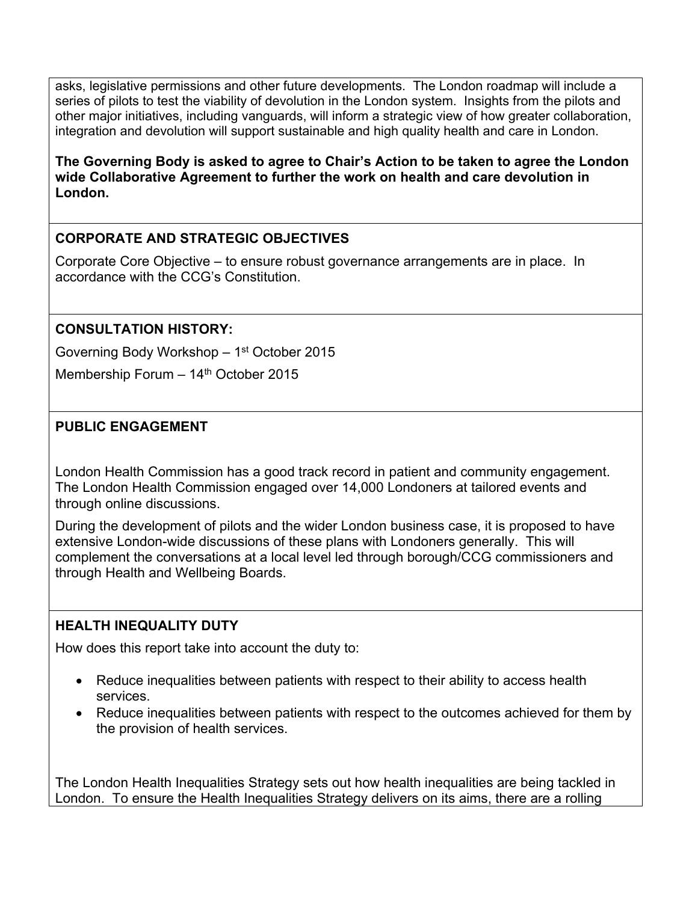asks, legislative permissions and other future developments. The London roadmap will include a series of pilots to test the viability of devolution in the London system. Insights from the pilots and other major initiatives, including vanguards, will inform a strategic view of how greater collaboration, integration and devolution will support sustainable and high quality health and care in London.

**The Governing Body is asked to agree to Chair's Action to be taken to agree the London wide Collaborative Agreement to further the work on health and care devolution in London.** 

## **CORPORATE AND STRATEGIC OBJECTIVES**

Corporate Core Objective – to ensure robust governance arrangements are in place. In accordance with the CCG's Constitution.

## **CONSULTATION HISTORY:**

Governing Body Workshop - 1<sup>st</sup> October 2015

Membership Forum - 14<sup>th</sup> October 2015

## **PUBLIC ENGAGEMENT**

London Health Commission has a good track record in patient and community engagement. The London Health Commission engaged over 14,000 Londoners at tailored events and through online discussions.

During the development of pilots and the wider London business case, it is proposed to have extensive London-wide discussions of these plans with Londoners generally. This will complement the conversations at a local level led through borough/CCG commissioners and through Health and Wellbeing Boards.

## **HEALTH INEQUALITY DUTY**

How does this report take into account the duty to:

- Reduce inequalities between patients with respect to their ability to access health services.
- Reduce inequalities between patients with respect to the outcomes achieved for them by the provision of health services.

The London Health Inequalities Strategy sets out how health inequalities are being tackled in London. To ensure the Health Inequalities Strategy delivers on its aims, there are a rolling